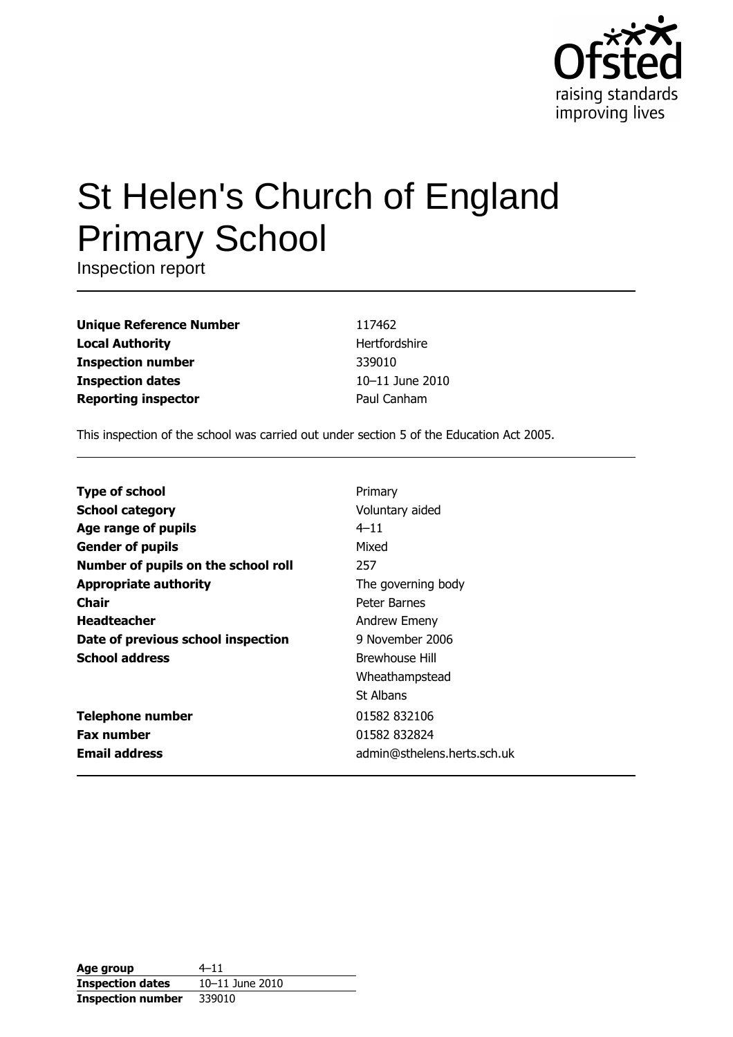

# St Helen's Church of England **Primary School**

Inspection report

**Unique Reference Number Local Authority Inspection number Inspection dates Reporting inspector** 

117462 Hertfordshire 339010 10-11 June 2010 Paul Canham

This inspection of the school was carried out under section 5 of the Education Act 2005.

| <b>Type of school</b>               | Primary                     |
|-------------------------------------|-----------------------------|
| <b>School category</b>              | Voluntary aided             |
| Age range of pupils                 | $4 - 11$                    |
| <b>Gender of pupils</b>             | Mixed                       |
| Number of pupils on the school roll | 257                         |
| <b>Appropriate authority</b>        | The governing body          |
| Chair                               | Peter Barnes                |
| <b>Headteacher</b>                  | Andrew Emeny                |
| Date of previous school inspection  | 9 November 2006             |
| <b>School address</b>               | <b>Brewhouse Hill</b>       |
|                                     | Wheathampstead              |
|                                     | St Albans                   |
| <b>Telephone number</b>             | 01582 832106                |
| <b>Fax number</b>                   | 01582 832824                |
| <b>Email address</b>                | admin@sthelens.herts.sch.uk |

| Age group                | $4 - 11$        |
|--------------------------|-----------------|
| <b>Inspection dates</b>  | 10-11 June 2010 |
| <b>Inspection number</b> | 339010          |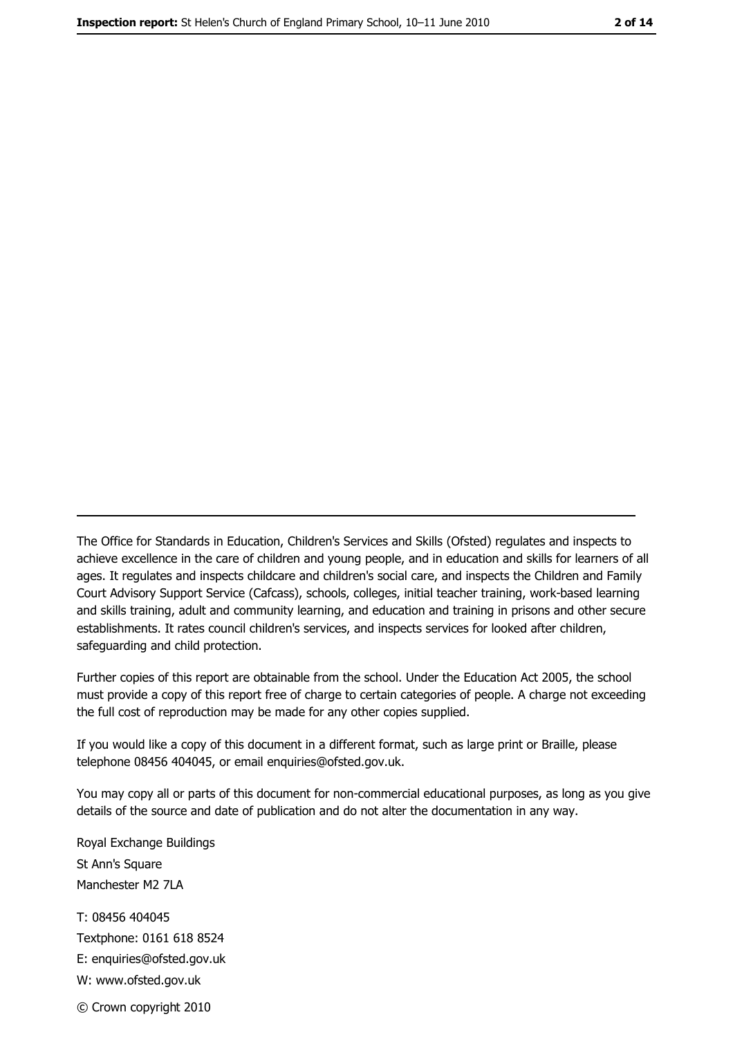The Office for Standards in Education, Children's Services and Skills (Ofsted) regulates and inspects to achieve excellence in the care of children and young people, and in education and skills for learners of all ages. It regulates and inspects childcare and children's social care, and inspects the Children and Family Court Advisory Support Service (Cafcass), schools, colleges, initial teacher training, work-based learning and skills training, adult and community learning, and education and training in prisons and other secure establishments. It rates council children's services, and inspects services for looked after children, safequarding and child protection.

Further copies of this report are obtainable from the school. Under the Education Act 2005, the school must provide a copy of this report free of charge to certain categories of people. A charge not exceeding the full cost of reproduction may be made for any other copies supplied.

If you would like a copy of this document in a different format, such as large print or Braille, please telephone 08456 404045, or email enquiries@ofsted.gov.uk.

You may copy all or parts of this document for non-commercial educational purposes, as long as you give details of the source and date of publication and do not alter the documentation in any way.

Royal Exchange Buildings St Ann's Square Manchester M2 7LA T: 08456 404045 Textphone: 0161 618 8524 E: enquiries@ofsted.gov.uk W: www.ofsted.gov.uk © Crown copyright 2010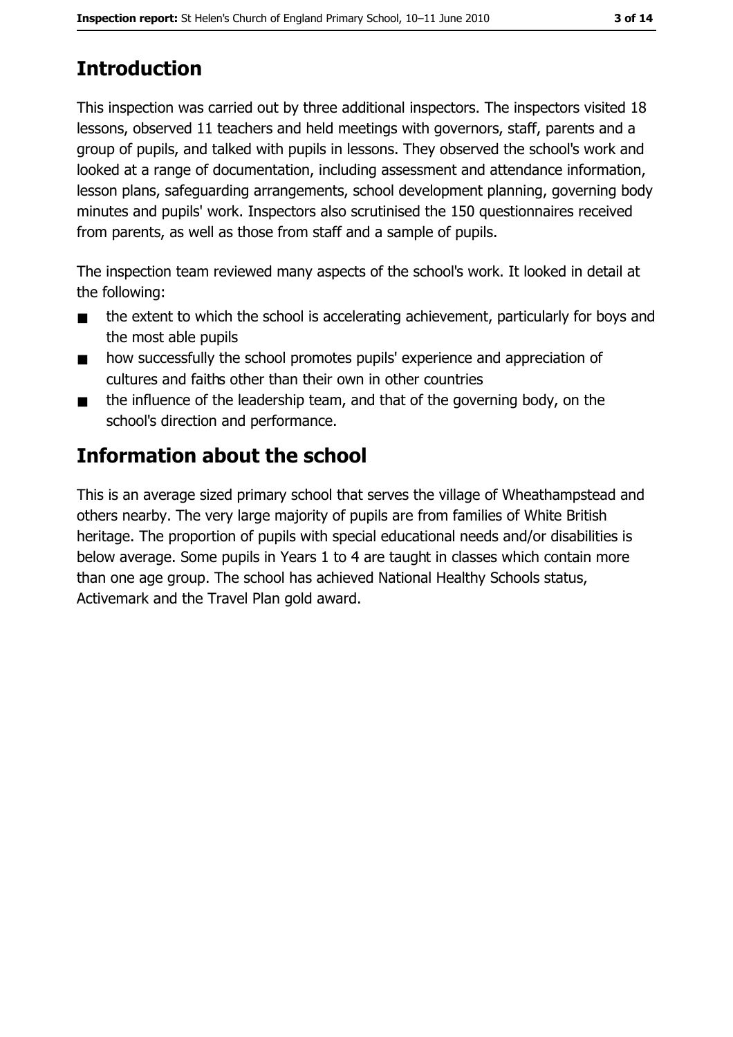# **Introduction**

This inspection was carried out by three additional inspectors. The inspectors visited 18 lessons, observed 11 teachers and held meetings with governors, staff, parents and a group of pupils, and talked with pupils in lessons. They observed the school's work and looked at a range of documentation, including assessment and attendance information, lesson plans, safequarding arrangements, school development planning, governing body minutes and pupils' work. Inspectors also scrutinised the 150 questionnaires received from parents, as well as those from staff and a sample of pupils.

The inspection team reviewed many aspects of the school's work. It looked in detail at the following:

- the extent to which the school is accelerating achievement, particularly for boys and  $\blacksquare$ the most able pupils
- how successfully the school promotes pupils' experience and appreciation of  $\blacksquare$ cultures and faiths other than their own in other countries
- the influence of the leadership team, and that of the governing body, on the  $\blacksquare$ school's direction and performance.

# Information about the school

This is an average sized primary school that serves the village of Wheathampstead and others nearby. The very large majority of pupils are from families of White British heritage. The proportion of pupils with special educational needs and/or disabilities is below average. Some pupils in Years 1 to 4 are taught in classes which contain more than one age group. The school has achieved National Healthy Schools status, Activemark and the Travel Plan gold award.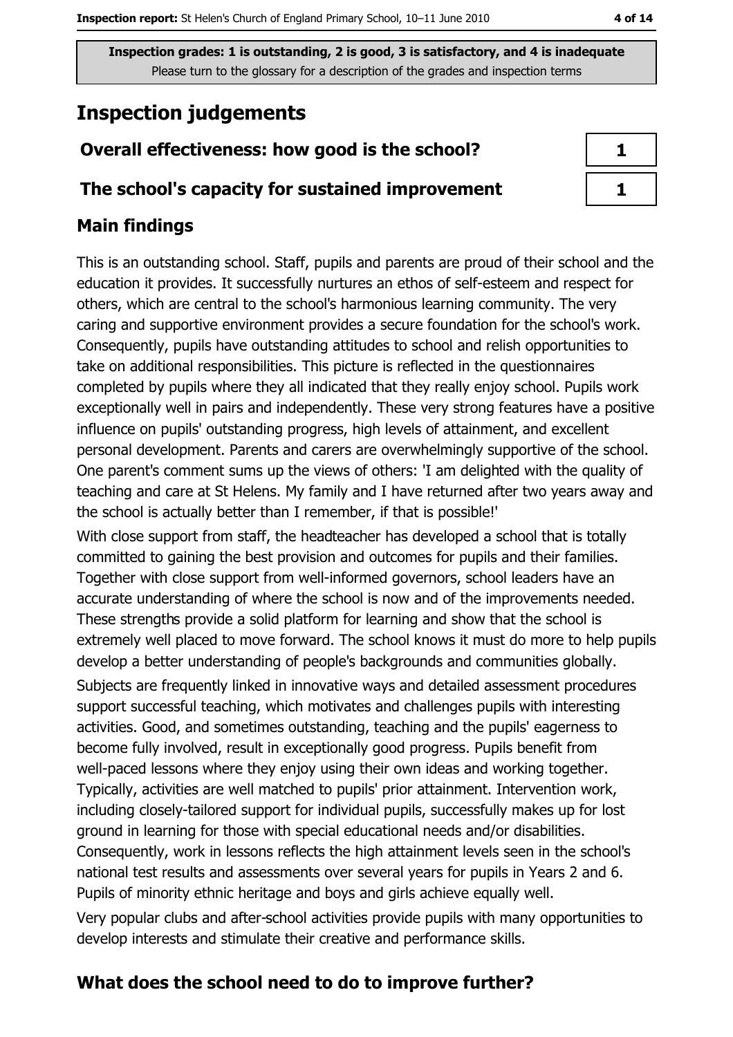Inspection grades: 1 is outstanding, 2 is good, 3 is satisfactory, and 4 is inadequate Please turn to the glossary for a description of the grades and inspection terms

# **Inspection judgements**

## Overall effectiveness: how good is the school?

### The school's capacity for sustained improvement

## **Main findings**

This is an outstanding school. Staff, pupils and parents are proud of their school and the education it provides. It successfully nurtures an ethos of self-esteem and respect for others, which are central to the school's harmonious learning community. The very caring and supportive environment provides a secure foundation for the school's work. Consequently, pupils have outstanding attitudes to school and relish opportunities to take on additional responsibilities. This picture is reflected in the questionnaires completed by pupils where they all indicated that they really enjoy school. Pupils work exceptionally well in pairs and independently. These very strong features have a positive influence on pupils' outstanding progress, high levels of attainment, and excellent personal development. Parents and carers are overwhelmingly supportive of the school. One parent's comment sums up the views of others: 'I am delighted with the quality of teaching and care at St Helens. My family and I have returned after two years away and the school is actually better than I remember, if that is possible!'

With close support from staff, the headteacher has developed a school that is totally committed to gaining the best provision and outcomes for pupils and their families. Together with close support from well-informed governors, school leaders have an accurate understanding of where the school is now and of the improvements needed. These strengths provide a solid platform for learning and show that the school is extremely well placed to move forward. The school knows it must do more to help pupils develop a better understanding of people's backgrounds and communities globally. Subjects are frequently linked in innovative ways and detailed assessment procedures support successful teaching, which motivates and challenges pupils with interesting activities. Good, and sometimes outstanding, teaching and the pupils' eagerness to become fully involved, result in exceptionally good progress. Pupils benefit from well-paced lessons where they enjoy using their own ideas and working together. Typically, activities are well matched to pupils' prior attainment. Intervention work, including closely-tailored support for individual pupils, successfully makes up for lost ground in learning for those with special educational needs and/or disabilities. Consequently, work in lessons reflects the high attainment levels seen in the school's national test results and assessments over several years for pupils in Years 2 and 6. Pupils of minority ethnic heritage and boys and girls achieve equally well.

Very popular clubs and after-school activities provide pupils with many opportunities to develop interests and stimulate their creative and performance skills.

# What does the school need to do to improve further?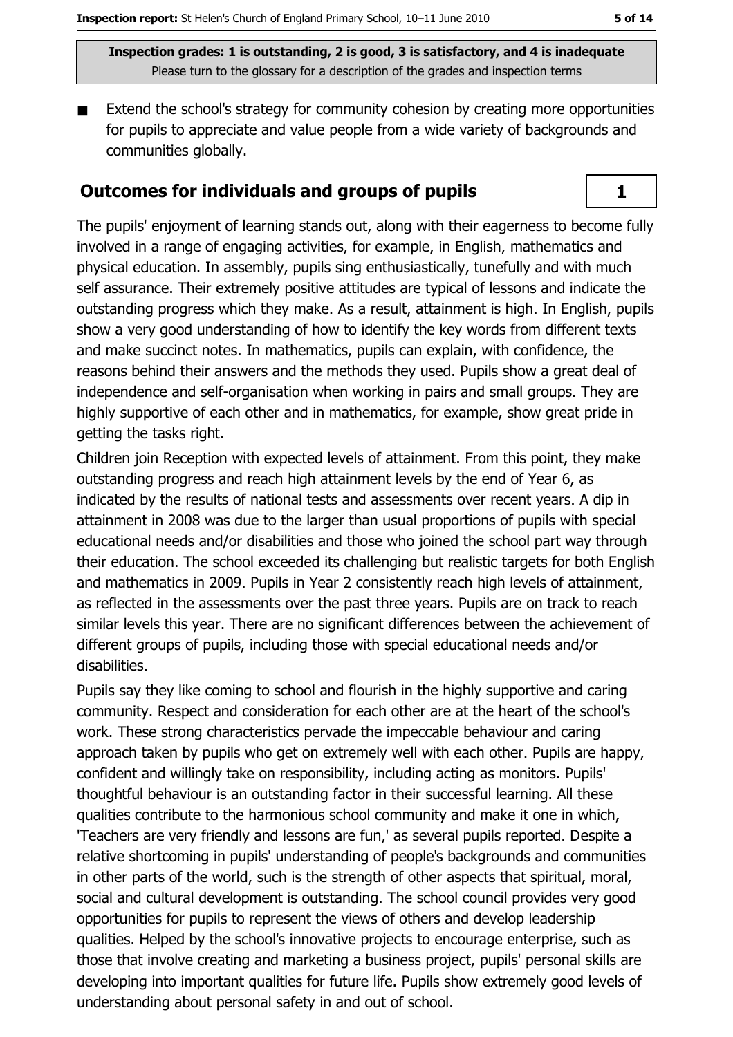$\mathbf{1}$ 

Inspection grades: 1 is outstanding, 2 is good, 3 is satisfactory, and 4 is inadequate Please turn to the glossary for a description of the grades and inspection terms

Extend the school's strategy for community cohesion by creating more opportunities for pupils to appreciate and value people from a wide variety of backgrounds and communities globally.

#### **Outcomes for individuals and groups of pupils**

The pupils' enjoyment of learning stands out, along with their eagerness to become fully involved in a range of engaging activities, for example, in English, mathematics and physical education. In assembly, pupils sing enthusiastically, tunefully and with much self assurance. Their extremely positive attitudes are typical of lessons and indicate the outstanding progress which they make. As a result, attainment is high. In English, pupils show a very good understanding of how to identify the key words from different texts and make succinct notes. In mathematics, pupils can explain, with confidence, the reasons behind their answers and the methods they used. Pupils show a great deal of independence and self-organisation when working in pairs and small groups. They are highly supportive of each other and in mathematics, for example, show great pride in getting the tasks right.

Children join Reception with expected levels of attainment. From this point, they make outstanding progress and reach high attainment levels by the end of Year 6, as indicated by the results of national tests and assessments over recent years. A dip in attainment in 2008 was due to the larger than usual proportions of pupils with special educational needs and/or disabilities and those who joined the school part way through their education. The school exceeded its challenging but realistic targets for both English and mathematics in 2009. Pupils in Year 2 consistently reach high levels of attainment, as reflected in the assessments over the past three vears. Pupils are on track to reach similar levels this year. There are no significant differences between the achievement of different groups of pupils, including those with special educational needs and/or disabilities.

Pupils say they like coming to school and flourish in the highly supportive and caring community. Respect and consideration for each other are at the heart of the school's work. These strong characteristics pervade the impeccable behaviour and caring approach taken by pupils who get on extremely well with each other. Pupils are happy, confident and willingly take on responsibility, including acting as monitors. Pupils' thoughtful behaviour is an outstanding factor in their successful learning. All these qualities contribute to the harmonious school community and make it one in which, 'Teachers are very friendly and lessons are fun,' as several pupils reported. Despite a relative shortcoming in pupils' understanding of people's backgrounds and communities in other parts of the world, such is the strength of other aspects that spiritual, moral, social and cultural development is outstanding. The school council provides very good opportunities for pupils to represent the views of others and develop leadership qualities. Helped by the school's innovative projects to encourage enterprise, such as those that involve creating and marketing a business project, pupils' personal skills are developing into important qualities for future life. Pupils show extremely good levels of understanding about personal safety in and out of school.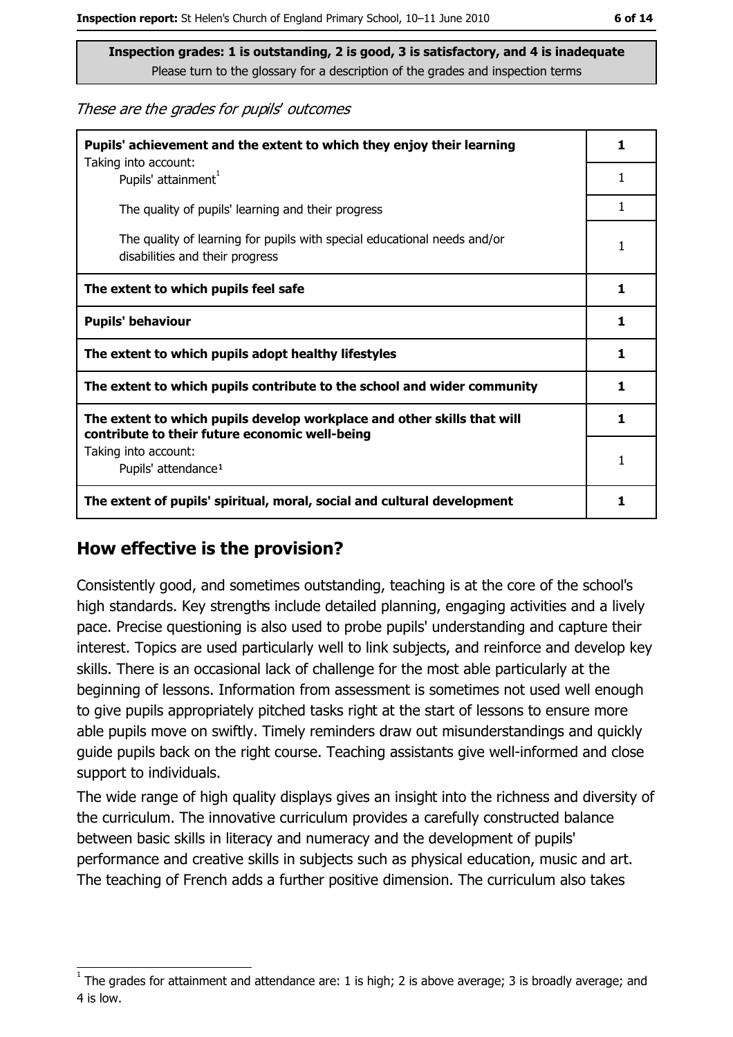These are the grades for pupils' outcomes

| Pupils' achievement and the extent to which they enjoy their learning                                                     |   |
|---------------------------------------------------------------------------------------------------------------------------|---|
| Taking into account:<br>Pupils' attainment <sup>1</sup>                                                                   | 1 |
| The quality of pupils' learning and their progress                                                                        | 1 |
| The quality of learning for pupils with special educational needs and/or<br>disabilities and their progress               | 1 |
| The extent to which pupils feel safe                                                                                      |   |
| <b>Pupils' behaviour</b>                                                                                                  |   |
| The extent to which pupils adopt healthy lifestyles                                                                       |   |
| The extent to which pupils contribute to the school and wider community                                                   |   |
| The extent to which pupils develop workplace and other skills that will<br>contribute to their future economic well-being |   |
| Taking into account:<br>Pupils' attendance <sup>1</sup>                                                                   |   |
| The extent of pupils' spiritual, moral, social and cultural development                                                   |   |

# How effective is the provision?

Consistently good, and sometimes outstanding, teaching is at the core of the school's high standards. Key strengths include detailed planning, engaging activities and a lively pace. Precise questioning is also used to probe pupils' understanding and capture their interest. Topics are used particularly well to link subjects, and reinforce and develop key skills. There is an occasional lack of challenge for the most able particularly at the beginning of lessons. Information from assessment is sometimes not used well enough to give pupils appropriately pitched tasks right at the start of lessons to ensure more able pupils move on swiftly. Timely reminders draw out misunderstandings and quickly quide pupils back on the right course. Teaching assistants give well-informed and close support to individuals.

The wide range of high quality displays gives an insight into the richness and diversity of the curriculum. The innovative curriculum provides a carefully constructed balance between basic skills in literacy and numeracy and the development of pupils' performance and creative skills in subjects such as physical education, music and art. The teaching of French adds a further positive dimension. The curriculum also takes

The grades for attainment and attendance are: 1 is high; 2 is above average; 3 is broadly average; and 4 is low.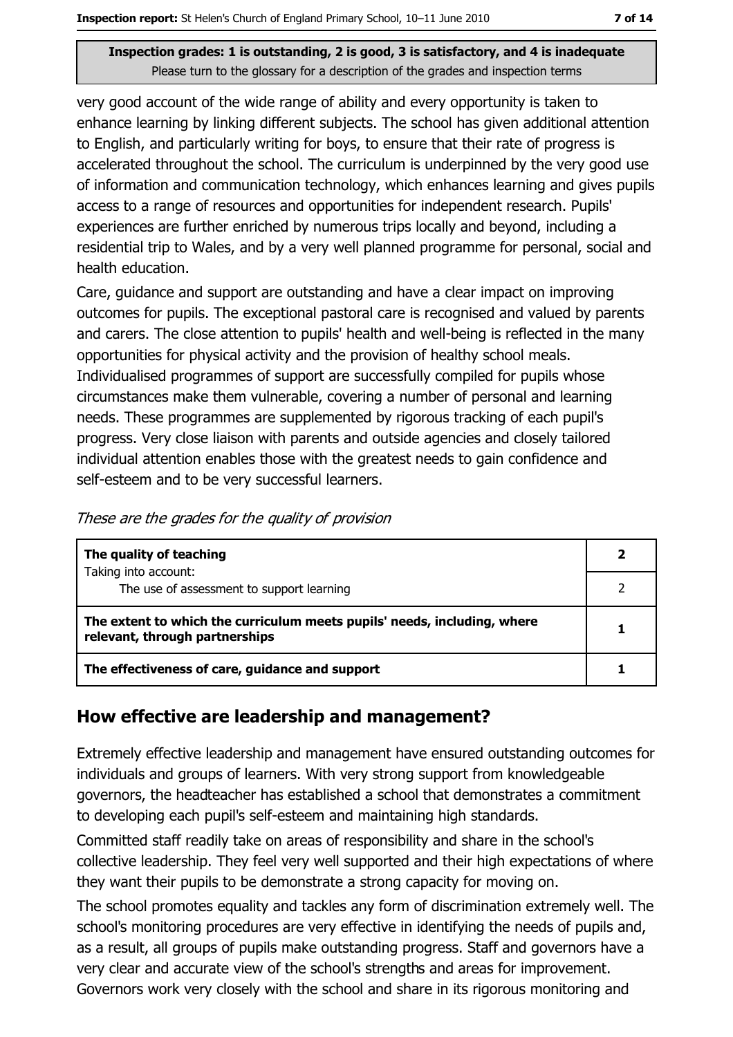#### Inspection grades: 1 is outstanding, 2 is good, 3 is satisfactory, and 4 is inadequate Please turn to the glossary for a description of the grades and inspection terms

very good account of the wide range of ability and every opportunity is taken to enhance learning by linking different subjects. The school has given additional attention to English, and particularly writing for boys, to ensure that their rate of progress is accelerated throughout the school. The curriculum is underpinned by the very good use of information and communication technology, which enhances learning and gives pupils access to a range of resources and opportunities for independent research. Pupils' experiences are further enriched by numerous trips locally and beyond, including a residential trip to Wales, and by a very well planned programme for personal, social and health education.

Care, guidance and support are outstanding and have a clear impact on improving outcomes for pupils. The exceptional pastoral care is recognised and valued by parents and carers. The close attention to pupils' health and well-being is reflected in the many opportunities for physical activity and the provision of healthy school meals. Individualised programmes of support are successfully compiled for pupils whose circumstances make them vulnerable, covering a number of personal and learning needs. These programmes are supplemented by rigorous tracking of each pupil's progress. Very close liaison with parents and outside agencies and closely tailored individual attention enables those with the greatest needs to gain confidence and self-esteem and to be very successful learners.

| The quality of teaching                                                                                    |  |
|------------------------------------------------------------------------------------------------------------|--|
| Taking into account:<br>The use of assessment to support learning                                          |  |
| The extent to which the curriculum meets pupils' needs, including, where<br>relevant, through partnerships |  |
| The effectiveness of care, guidance and support                                                            |  |

# How effective are leadership and management?

Extremely effective leadership and management have ensured outstanding outcomes for individuals and groups of learners. With very strong support from knowledgeable governors, the headteacher has established a school that demonstrates a commitment to developing each pupil's self-esteem and maintaining high standards.

Committed staff readily take on areas of responsibility and share in the school's collective leadership. They feel very well supported and their high expectations of where they want their pupils to be demonstrate a strong capacity for moving on.

The school promotes equality and tackles any form of discrimination extremely well. The school's monitoring procedures are very effective in identifying the needs of pupils and, as a result, all groups of pupils make outstanding progress. Staff and governors have a very clear and accurate view of the school's strengths and areas for improvement. Governors work very closely with the school and share in its rigorous monitoring and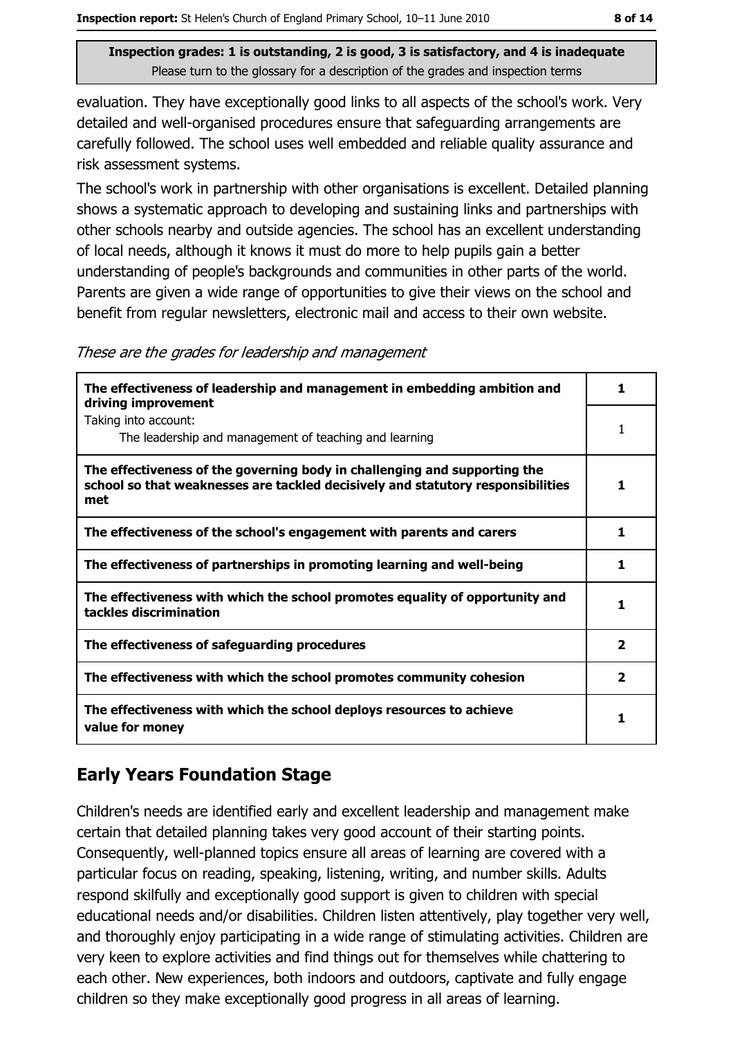evaluation. They have exceptionally good links to all aspects of the school's work. Very detailed and well-organised procedures ensure that safeguarding arrangements are carefully followed. The school uses well embedded and reliable quality assurance and risk assessment systems.

The school's work in partnership with other organisations is excellent. Detailed planning shows a systematic approach to developing and sustaining links and partnerships with other schools nearby and outside agencies. The school has an excellent understanding of local needs, although it knows it must do more to help pupils gain a better understanding of people's backgrounds and communities in other parts of the world. Parents are given a wide range of opportunities to give their views on the school and benefit from regular newsletters, electronic mail and access to their own website.

These are the grades for leadership and management

| The effectiveness of leadership and management in embedding ambition and<br>driving improvement                                                                     |                         |
|---------------------------------------------------------------------------------------------------------------------------------------------------------------------|-------------------------|
| Taking into account:<br>The leadership and management of teaching and learning                                                                                      |                         |
| The effectiveness of the governing body in challenging and supporting the<br>school so that weaknesses are tackled decisively and statutory responsibilities<br>met |                         |
| The effectiveness of the school's engagement with parents and carers                                                                                                | 1                       |
| The effectiveness of partnerships in promoting learning and well-being                                                                                              |                         |
| The effectiveness with which the school promotes equality of opportunity and<br>tackles discrimination                                                              | 1                       |
| The effectiveness of safeguarding procedures                                                                                                                        | $\overline{2}$          |
| The effectiveness with which the school promotes community cohesion                                                                                                 | $\overline{\mathbf{2}}$ |
| The effectiveness with which the school deploys resources to achieve<br>value for money                                                                             |                         |

# **Early Years Foundation Stage**

Children's needs are identified early and excellent leadership and management make certain that detailed planning takes very good account of their starting points. Consequently, well-planned topics ensure all areas of learning are covered with a particular focus on reading, speaking, listening, writing, and number skills. Adults respond skilfully and exceptionally good support is given to children with special educational needs and/or disabilities. Children listen attentively, play together very well, and thoroughly enjoy participating in a wide range of stimulating activities. Children are very keen to explore activities and find things out for themselves while chattering to each other. New experiences, both indoors and outdoors, captivate and fully engage children so they make exceptionally good progress in all areas of learning.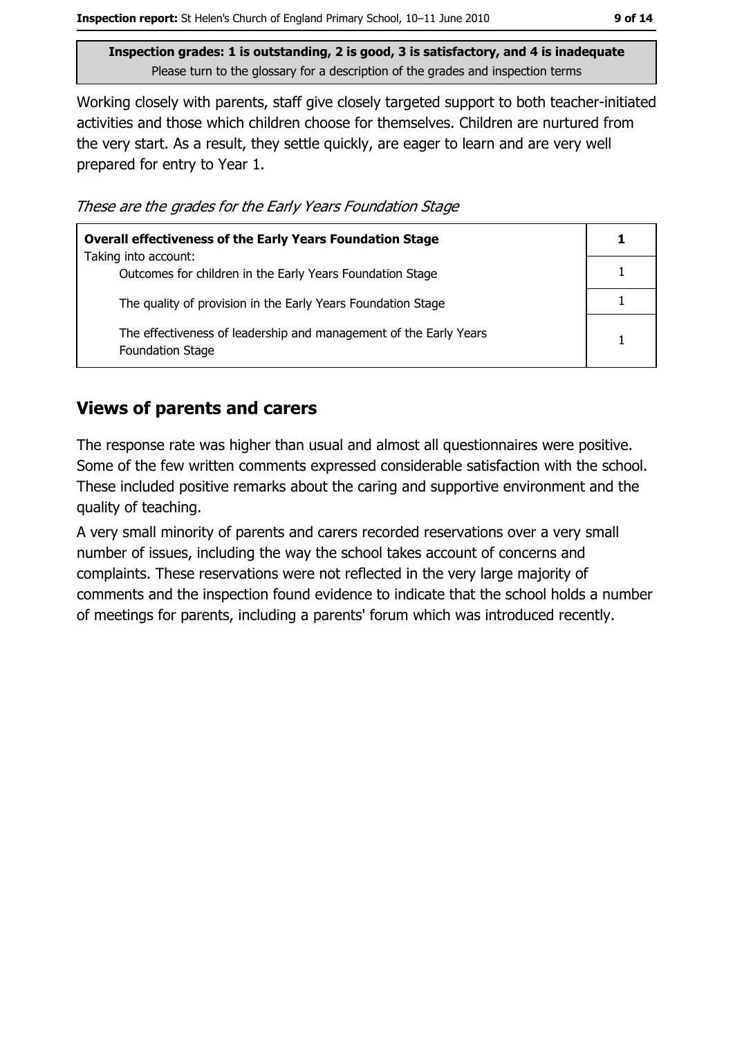Inspection grades: 1 is outstanding, 2 is good, 3 is satisfactory, and 4 is inadequate Please turn to the glossary for a description of the grades and inspection terms

Working closely with parents, staff give closely targeted support to both teacher-initiated activities and those which children choose for themselves. Children are nurtured from the very start. As a result, they settle quickly, are eager to learn and are very well prepared for entry to Year 1.

These are the grades for the Early Years Foundation Stage

| <b>Overall effectiveness of the Early Years Foundation Stage</b>                             |  |  |
|----------------------------------------------------------------------------------------------|--|--|
| Taking into account:<br>Outcomes for children in the Early Years Foundation Stage            |  |  |
| The quality of provision in the Early Years Foundation Stage                                 |  |  |
| The effectiveness of leadership and management of the Early Years<br><b>Foundation Stage</b> |  |  |

## **Views of parents and carers**

The response rate was higher than usual and almost all guestionnaires were positive. Some of the few written comments expressed considerable satisfaction with the school. These included positive remarks about the caring and supportive environment and the quality of teaching.

A very small minority of parents and carers recorded reservations over a very small number of issues, including the way the school takes account of concerns and complaints. These reservations were not reflected in the very large majority of comments and the inspection found evidence to indicate that the school holds a number of meetings for parents, including a parents' forum which was introduced recently.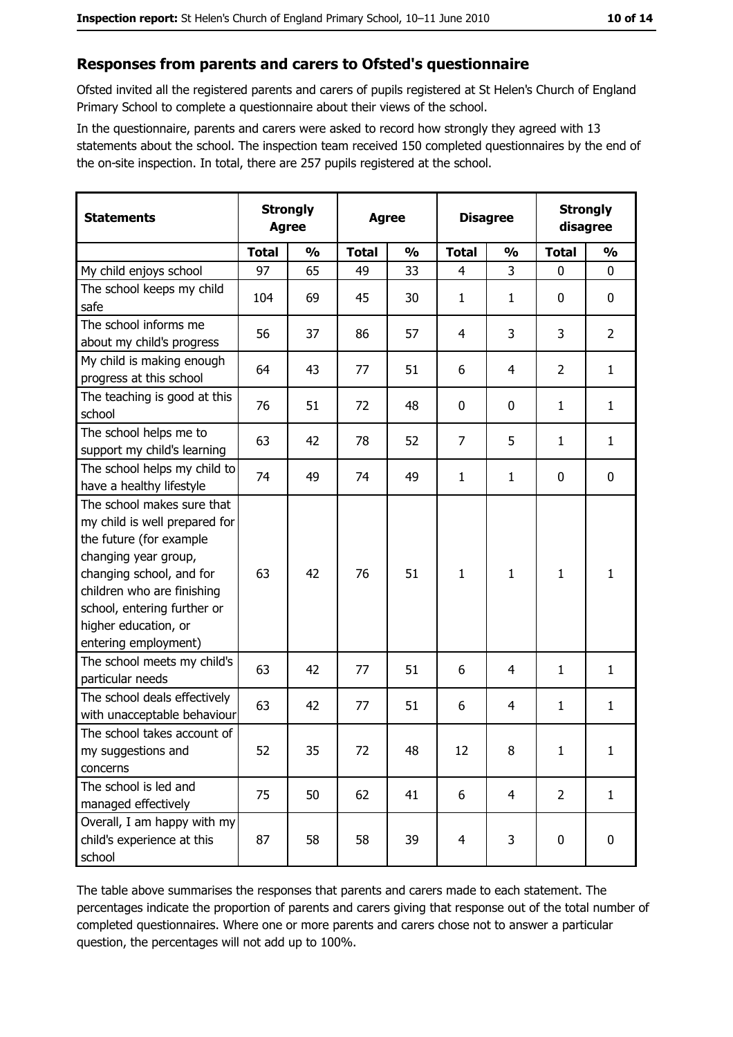#### Responses from parents and carers to Ofsted's questionnaire

Ofsted invited all the registered parents and carers of pupils registered at St Helen's Church of England Primary School to complete a questionnaire about their views of the school.

In the questionnaire, parents and carers were asked to record how strongly they agreed with 13 statements about the school. The inspection team received 150 completed questionnaires by the end of the on-site inspection. In total, there are 257 pupils registered at the school.

| <b>Statements</b>                                                                                                                                                                                                                                       | <b>Strongly</b><br><b>Agree</b> |               | <b>Agree</b> |               | <b>Disagree</b> |                | <b>Strongly</b><br>disagree |                |
|---------------------------------------------------------------------------------------------------------------------------------------------------------------------------------------------------------------------------------------------------------|---------------------------------|---------------|--------------|---------------|-----------------|----------------|-----------------------------|----------------|
|                                                                                                                                                                                                                                                         | <b>Total</b>                    | $\frac{0}{0}$ | <b>Total</b> | $\frac{0}{0}$ | <b>Total</b>    | $\frac{0}{0}$  | <b>Total</b>                | $\frac{0}{0}$  |
| My child enjoys school                                                                                                                                                                                                                                  | 97                              | 65            | 49           | 33            | $\overline{4}$  | 3              | $\mathbf 0$                 | $\mathbf 0$    |
| The school keeps my child<br>safe                                                                                                                                                                                                                       | 104                             | 69            | 45           | 30            | $\mathbf{1}$    | $\mathbf{1}$   | 0                           | $\mathbf 0$    |
| The school informs me<br>about my child's progress                                                                                                                                                                                                      | 56                              | 37            | 86           | 57            | 4               | 3              | 3                           | $\overline{2}$ |
| My child is making enough<br>progress at this school                                                                                                                                                                                                    | 64                              | 43            | 77           | 51            | 6               | 4              | $\overline{2}$              | $\mathbf{1}$   |
| The teaching is good at this<br>school                                                                                                                                                                                                                  | 76                              | 51            | 72           | 48            | 0               | 0              | 1                           | $\mathbf{1}$   |
| The school helps me to<br>support my child's learning                                                                                                                                                                                                   | 63                              | 42            | 78           | 52            | $\overline{7}$  | 5              | 1                           | $\mathbf{1}$   |
| The school helps my child to<br>have a healthy lifestyle                                                                                                                                                                                                | 74                              | 49            | 74           | 49            | $\mathbf{1}$    | 1              | 0                           | $\mathbf 0$    |
| The school makes sure that<br>my child is well prepared for<br>the future (for example<br>changing year group,<br>changing school, and for<br>children who are finishing<br>school, entering further or<br>higher education, or<br>entering employment) | 63                              | 42            | 76           | 51            | $\mathbf{1}$    | 1              | $\mathbf{1}$                | $\mathbf{1}$   |
| The school meets my child's<br>particular needs                                                                                                                                                                                                         | 63                              | 42            | 77           | 51            | 6               | 4              | 1                           | $\mathbf{1}$   |
| The school deals effectively<br>with unacceptable behaviour                                                                                                                                                                                             | 63                              | 42            | 77           | 51            | 6               | 4              | 1                           | $\mathbf{1}$   |
| The school takes account of<br>my suggestions and<br>concerns                                                                                                                                                                                           | 52                              | 35            | 72           | 48            | 12              | 8              | $\mathbf{1}$                | $\mathbf{1}$   |
| The school is led and<br>managed effectively                                                                                                                                                                                                            | 75                              | 50            | 62           | 41            | 6               | $\overline{4}$ | $\overline{2}$              | $\mathbf{1}$   |
| Overall, I am happy with my<br>child's experience at this<br>school                                                                                                                                                                                     | 87                              | 58            | 58           | 39            | $\overline{4}$  | 3              | 0                           | $\mathbf 0$    |

The table above summarises the responses that parents and carers made to each statement. The percentages indicate the proportion of parents and carers giving that response out of the total number of completed questionnaires. Where one or more parents and carers chose not to answer a particular question, the percentages will not add up to 100%.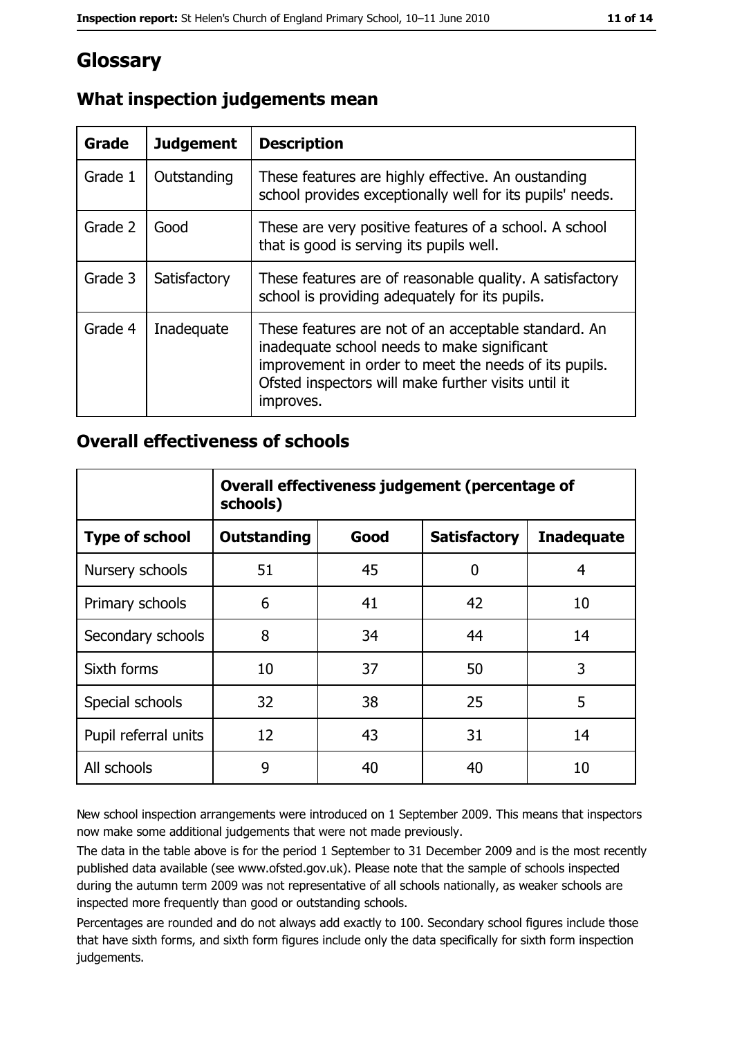# Glossary

| Grade   | <b>Judgement</b> | <b>Description</b>                                                                                                                                                                                                               |  |
|---------|------------------|----------------------------------------------------------------------------------------------------------------------------------------------------------------------------------------------------------------------------------|--|
| Grade 1 | Outstanding      | These features are highly effective. An oustanding<br>school provides exceptionally well for its pupils' needs.                                                                                                                  |  |
| Grade 2 | Good             | These are very positive features of a school. A school<br>that is good is serving its pupils well.                                                                                                                               |  |
| Grade 3 | Satisfactory     | These features are of reasonable quality. A satisfactory<br>school is providing adequately for its pupils.                                                                                                                       |  |
| Grade 4 | Inadequate       | These features are not of an acceptable standard. An<br>inadequate school needs to make significant<br>improvement in order to meet the needs of its pupils.<br>Ofsted inspectors will make further visits until it<br>improves. |  |

# What inspection judgements mean

## **Overall effectiveness of schools**

|                       | Overall effectiveness judgement (percentage of<br>schools) |      |                     |                   |
|-----------------------|------------------------------------------------------------|------|---------------------|-------------------|
| <b>Type of school</b> | <b>Outstanding</b>                                         | Good | <b>Satisfactory</b> | <b>Inadequate</b> |
| Nursery schools       | 51                                                         | 45   | 0                   | 4                 |
| Primary schools       | 6                                                          | 41   | 42                  | 10                |
| Secondary schools     | 8                                                          | 34   | 44                  | 14                |
| Sixth forms           | 10                                                         | 37   | 50                  | 3                 |
| Special schools       | 32                                                         | 38   | 25                  | 5                 |
| Pupil referral units  | 12                                                         | 43   | 31                  | 14                |
| All schools           | 9                                                          | 40   | 40                  | 10                |

New school inspection arrangements were introduced on 1 September 2009. This means that inspectors now make some additional judgements that were not made previously.

The data in the table above is for the period 1 September to 31 December 2009 and is the most recently published data available (see www.ofsted.gov.uk). Please note that the sample of schools inspected during the autumn term 2009 was not representative of all schools nationally, as weaker schools are inspected more frequently than good or outstanding schools.

Percentages are rounded and do not always add exactly to 100. Secondary school figures include those that have sixth forms, and sixth form figures include only the data specifically for sixth form inspection judgements.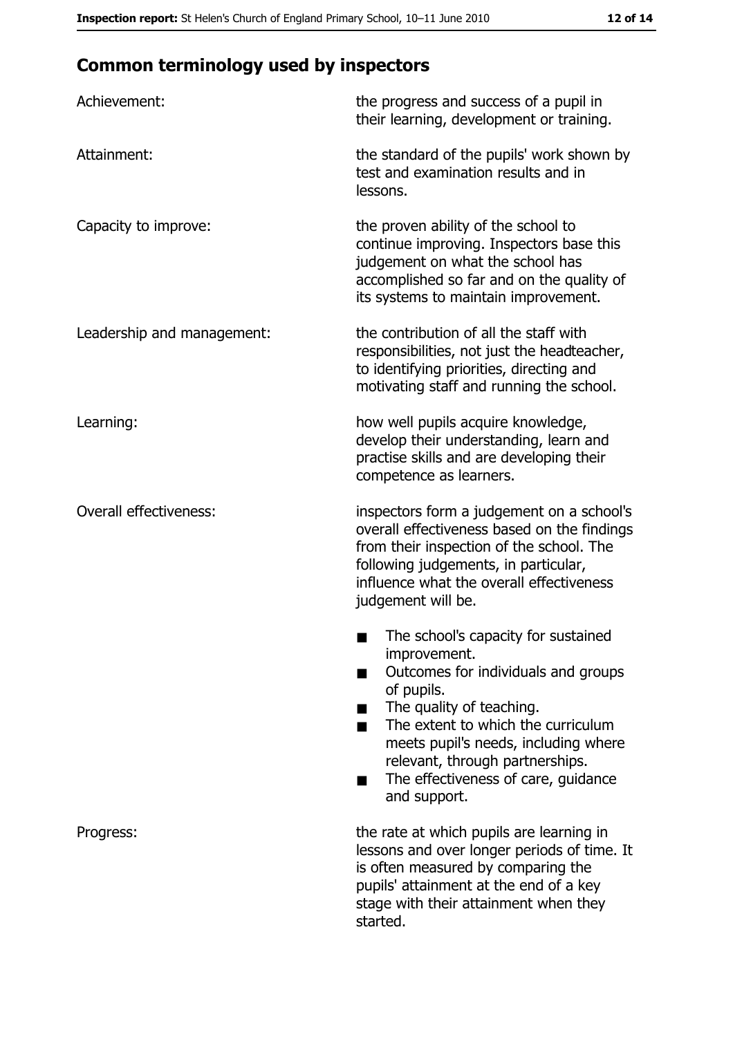# **Common terminology used by inspectors**

| Achievement:                  | the progress and success of a pupil in<br>their learning, development or training.                                                                                                                                                                                                                           |
|-------------------------------|--------------------------------------------------------------------------------------------------------------------------------------------------------------------------------------------------------------------------------------------------------------------------------------------------------------|
| Attainment:                   | the standard of the pupils' work shown by<br>test and examination results and in<br>lessons.                                                                                                                                                                                                                 |
| Capacity to improve:          | the proven ability of the school to<br>continue improving. Inspectors base this<br>judgement on what the school has<br>accomplished so far and on the quality of<br>its systems to maintain improvement.                                                                                                     |
| Leadership and management:    | the contribution of all the staff with<br>responsibilities, not just the headteacher,<br>to identifying priorities, directing and<br>motivating staff and running the school.                                                                                                                                |
| Learning:                     | how well pupils acquire knowledge,<br>develop their understanding, learn and<br>practise skills and are developing their<br>competence as learners.                                                                                                                                                          |
| <b>Overall effectiveness:</b> | inspectors form a judgement on a school's<br>overall effectiveness based on the findings<br>from their inspection of the school. The<br>following judgements, in particular,<br>influence what the overall effectiveness<br>judgement will be.                                                               |
|                               | The school's capacity for sustained<br>improvement.<br>Outcomes for individuals and groups<br>of pupils.<br>The quality of teaching.<br>The extent to which the curriculum<br>meets pupil's needs, including where<br>relevant, through partnerships.<br>The effectiveness of care, guidance<br>and support. |
| Progress:                     | the rate at which pupils are learning in<br>lessons and over longer periods of time. It<br>is often measured by comparing the<br>pupils' attainment at the end of a key<br>stage with their attainment when they<br>started.                                                                                 |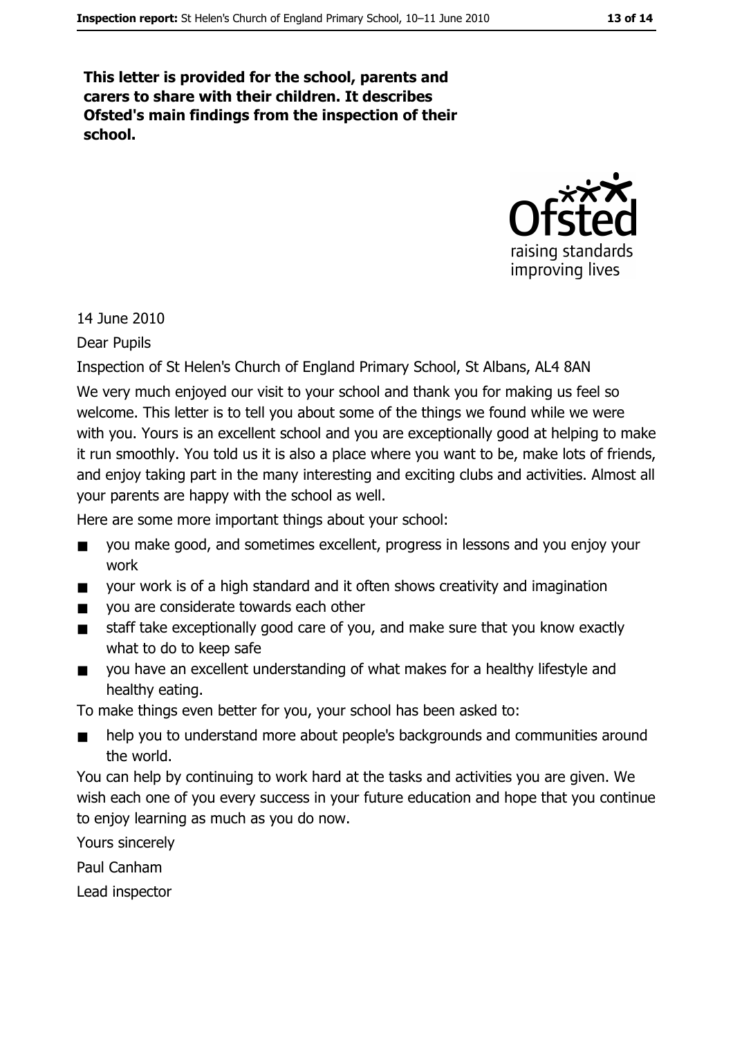This letter is provided for the school, parents and carers to share with their children. It describes Ofsted's main findings from the inspection of their school.



14 June 2010

Dear Pupils

Inspection of St Helen's Church of England Primary School, St Albans, AL4 8AN

We very much enjoyed our visit to your school and thank you for making us feel so welcome. This letter is to tell you about some of the things we found while we were with you. Yours is an excellent school and you are exceptionally good at helping to make it run smoothly. You told us it is also a place where you want to be, make lots of friends, and enjoy taking part in the many interesting and exciting clubs and activities. Almost all your parents are happy with the school as well.

Here are some more important things about your school:

- $\blacksquare$ you make good, and sometimes excellent, progress in lessons and you enjoy your work
- vour work is of a high standard and it often shows creativity and imagination  $\blacksquare$
- you are considerate towards each other  $\blacksquare$
- staff take exceptionally good care of you, and make sure that you know exactly  $\blacksquare$ what to do to keep safe
- vou have an excellent understanding of what makes for a healthy lifestyle and  $\blacksquare$ healthy eating.

To make things even better for you, your school has been asked to:

help you to understand more about people's backgrounds and communities around the world.

You can help by continuing to work hard at the tasks and activities you are given. We wish each one of you every success in your future education and hope that you continue to enjoy learning as much as you do now.

Yours sincerely

Paul Canham

Lead inspector